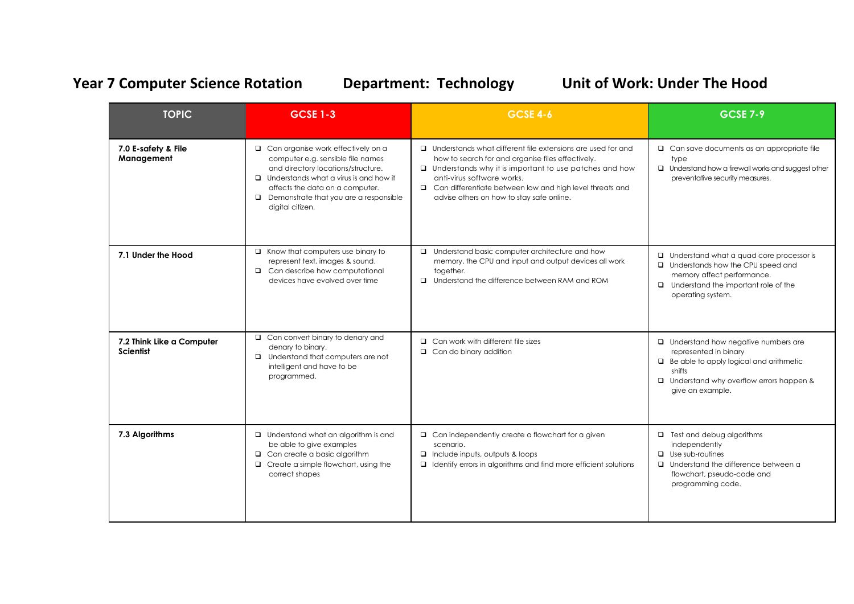## Year 7 Computer Science Rotation **Department: Technology Unit of Work: Under The Hood**

| <b>TOPIC</b>                                  | <b>GCSE 1-3</b>                                                                                                                                                                                                                                                               | <b>GCSE 4-6</b>                                                                                                                                                                                                                                                                                                                   | <b>GCSE 7-9</b>                                                                                                                                                                                       |
|-----------------------------------------------|-------------------------------------------------------------------------------------------------------------------------------------------------------------------------------------------------------------------------------------------------------------------------------|-----------------------------------------------------------------------------------------------------------------------------------------------------------------------------------------------------------------------------------------------------------------------------------------------------------------------------------|-------------------------------------------------------------------------------------------------------------------------------------------------------------------------------------------------------|
| 7.0 E-safety & File<br>Management             | $\Box$ Can organise work effectively on a<br>computer e.g. sensible file names<br>and directory locations/structure.<br>$\Box$ Understands what a virus is and how it<br>affects the data on a computer.<br>$\Box$ Demonstrate that you are a responsible<br>digital citizen. | $\Box$ Understands what different file extensions are used for and<br>how to search for and organise files effectively.<br>$\Box$ Understands why it is important to use patches and how<br>anti-virus software works.<br>□ Can differentiate between low and high level threats and<br>advise others on how to stay safe online. | $\Box$ Can save documents as an appropriate file<br>type<br>$\Box$ Understand how a firewall works and suggest other<br>preventative security measures.                                               |
| 7.1 Under the Hood                            | $\Box$ Know that computers use binary to<br>represent text, images & sound.<br>$\Box$ Can describe how computational<br>devices have evolved over time                                                                                                                        | □ Understand basic computer architecture and how<br>memory, the CPU and input and output devices all work<br>together.<br>□ Understand the difference between RAM and ROM                                                                                                                                                         | $\Box$ Understand what a quad core processor is<br>□ Understands how the CPU speed and<br>memory affect performance.<br>$\Box$ Understand the important role of the<br>operating system.              |
| 7.2 Think Like a Computer<br><b>Scientist</b> | $\Box$ Can convert binary to denary and<br>denary to binary.<br>$\Box$ Understand that computers are not<br>intelligent and have to be<br>programmed.                                                                                                                         | $\Box$ Can work with different file sizes<br>$\Box$ Can do binary addition                                                                                                                                                                                                                                                        | $\Box$ Understand how negative numbers are<br>represented in binary<br>$\Box$ Be able to apply logical and arithmetic<br>shifts<br>$\Box$ Understand why overflow errors happen &<br>give an example. |
| 7.3 Algorithms                                | <b>u</b> Understand what an algorithm is and<br>be able to give examples<br>$\Box$ Can create a basic algorithm<br>$\Box$ Create a simple flowchart, using the<br>correct shapes                                                                                              | $\Box$ Can independently create a flowchart for a given<br>scenario.<br>$\Box$ Include inputs, outputs & loops<br>$\Box$ Identify errors in algorithms and find more efficient solutions                                                                                                                                          | $\Box$ Test and debug algorithms<br>independently<br>$\Box$ Use sub-routines<br>□ Understand the difference between a<br>flowchart, pseudo-code and<br>programming code.                              |